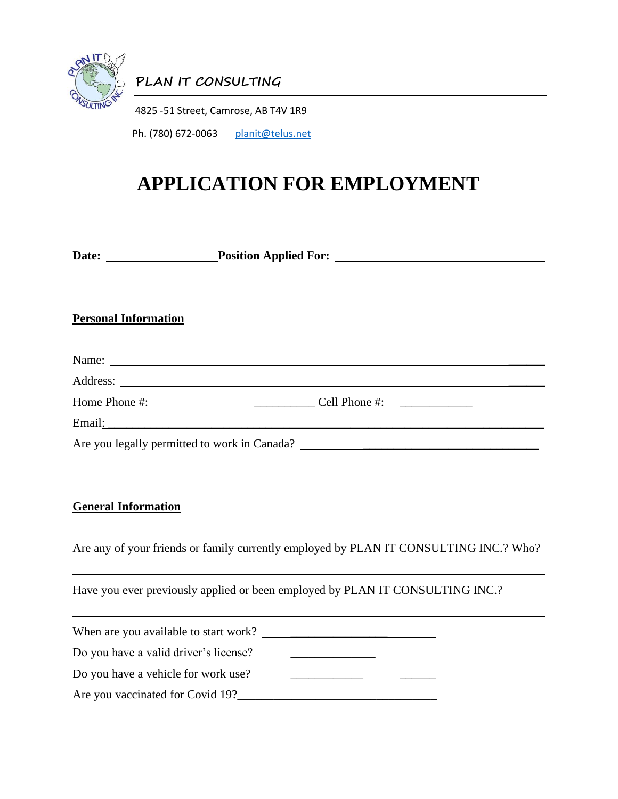

**PLAN IT CONSULTING**

4825 -51 Street, Camrose, AB T4V 1R9

Ph. (780) 672-0063 [planit@telus.net](mailto:planit@telus.net)

## **APPLICATION FOR EMPLOYMENT**

**Date:** Position Applied For: <u>New York: New York: New York: New York: New York: New York: New York: New York: New York: New York: New York: New York: New York: New York: New York: New York: New York: New York: New York: N</u>

## **Personal Information**

| Name:                                                                                                                                                                                                                                                                                                              |  |
|--------------------------------------------------------------------------------------------------------------------------------------------------------------------------------------------------------------------------------------------------------------------------------------------------------------------|--|
|                                                                                                                                                                                                                                                                                                                    |  |
| Home Phone #: $\frac{1}{2}$ $\frac{1}{2}$ $\frac{1}{2}$ $\frac{1}{2}$ $\frac{1}{2}$ $\frac{1}{2}$ $\frac{1}{2}$ $\frac{1}{2}$ $\frac{1}{2}$ $\frac{1}{2}$ $\frac{1}{2}$ $\frac{1}{2}$ $\frac{1}{2}$ $\frac{1}{2}$ $\frac{1}{2}$ $\frac{1}{2}$ $\frac{1}{2}$ $\frac{1}{2}$ $\frac{1}{2}$ $\frac{1}{2}$ $\frac{1}{2$ |  |
|                                                                                                                                                                                                                                                                                                                    |  |
|                                                                                                                                                                                                                                                                                                                    |  |

## **General Information**

Are any of your friends or family currently employed by PLAN IT CONSULTING INC.? Who?

Have you ever previously applied or been employed by PLAN IT CONSULTING INC.?

| When are you available to start work? |  |
|---------------------------------------|--|
| Do you have a valid driver's license? |  |
| Do you have a vehicle for work use?   |  |
| Are you vaccinated for Covid 19?      |  |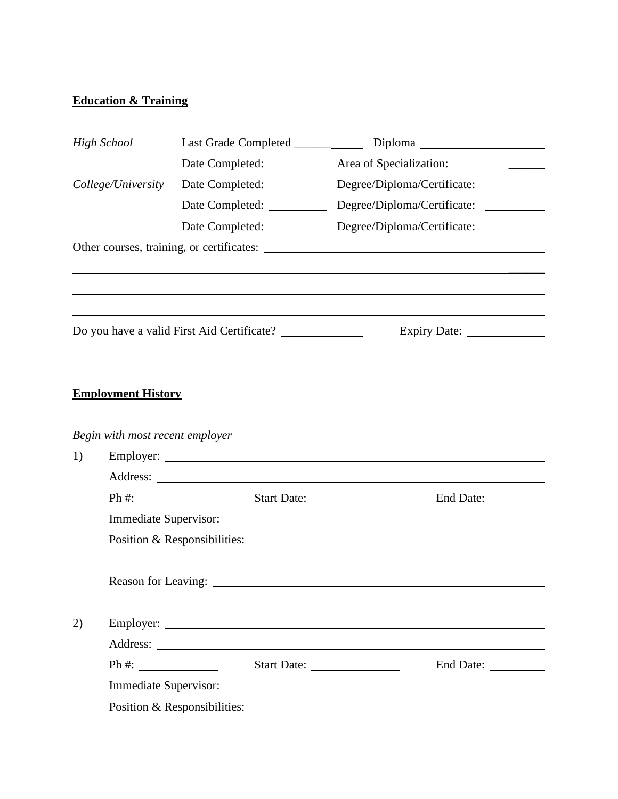## **Education & Training**

| <b>High School</b> |                           |                                 |                                                                                   |  |
|--------------------|---------------------------|---------------------------------|-----------------------------------------------------------------------------------|--|
|                    |                           |                                 | Date Completed: _____________ Area of Specialization: ___________________________ |  |
|                    | College/University        | Date Completed: _____________   | Degree/Diploma/Certificate: __________                                            |  |
|                    |                           |                                 |                                                                                   |  |
|                    |                           |                                 | Date Completed: Degree/Diploma/Certificate: _________                             |  |
|                    |                           |                                 | Other courses, training, or certificates:                                         |  |
|                    |                           |                                 |                                                                                   |  |
|                    |                           |                                 |                                                                                   |  |
|                    |                           |                                 |                                                                                   |  |
|                    |                           |                                 |                                                                                   |  |
|                    |                           |                                 |                                                                                   |  |
|                    | <b>Employment History</b> |                                 |                                                                                   |  |
|                    |                           |                                 |                                                                                   |  |
|                    |                           | Begin with most recent employer |                                                                                   |  |
| 1)                 |                           |                                 |                                                                                   |  |
|                    |                           |                                 |                                                                                   |  |
|                    |                           |                                 |                                                                                   |  |
|                    |                           |                                 |                                                                                   |  |
|                    |                           |                                 |                                                                                   |  |
|                    |                           |                                 |                                                                                   |  |
| 2)                 |                           |                                 |                                                                                   |  |
|                    |                           |                                 |                                                                                   |  |
|                    |                           |                                 |                                                                                   |  |
|                    |                           |                                 |                                                                                   |  |
|                    |                           |                                 | Position & Responsibilities:                                                      |  |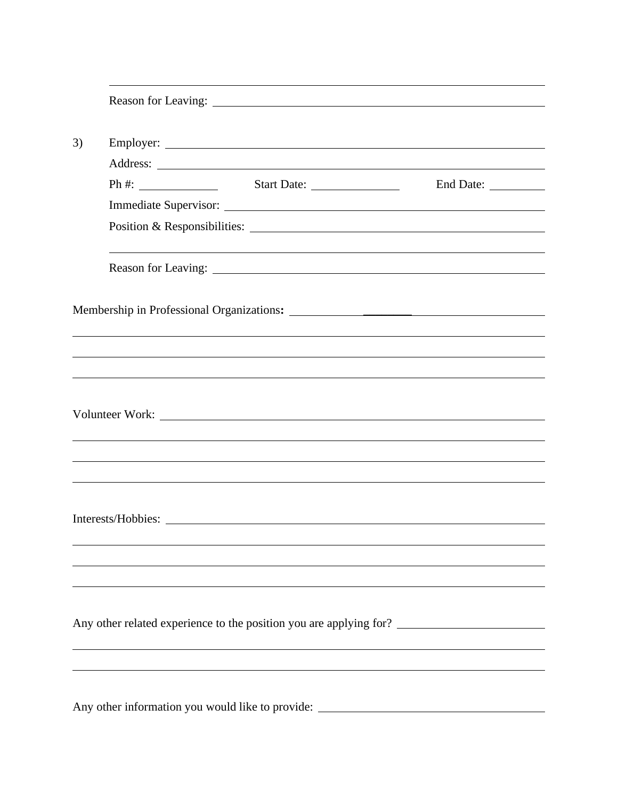| 3) |  |                                                                                   |  |  |  |
|----|--|-----------------------------------------------------------------------------------|--|--|--|
|    |  |                                                                                   |  |  |  |
|    |  |                                                                                   |  |  |  |
|    |  |                                                                                   |  |  |  |
|    |  |                                                                                   |  |  |  |
|    |  |                                                                                   |  |  |  |
|    |  |                                                                                   |  |  |  |
|    |  |                                                                                   |  |  |  |
|    |  |                                                                                   |  |  |  |
|    |  |                                                                                   |  |  |  |
|    |  |                                                                                   |  |  |  |
|    |  |                                                                                   |  |  |  |
|    |  |                                                                                   |  |  |  |
|    |  |                                                                                   |  |  |  |
|    |  |                                                                                   |  |  |  |
|    |  |                                                                                   |  |  |  |
|    |  |                                                                                   |  |  |  |
|    |  |                                                                                   |  |  |  |
|    |  |                                                                                   |  |  |  |
|    |  |                                                                                   |  |  |  |
|    |  |                                                                                   |  |  |  |
|    |  |                                                                                   |  |  |  |
|    |  |                                                                                   |  |  |  |
|    |  |                                                                                   |  |  |  |
|    |  | Any other information you would like to provide: ________________________________ |  |  |  |